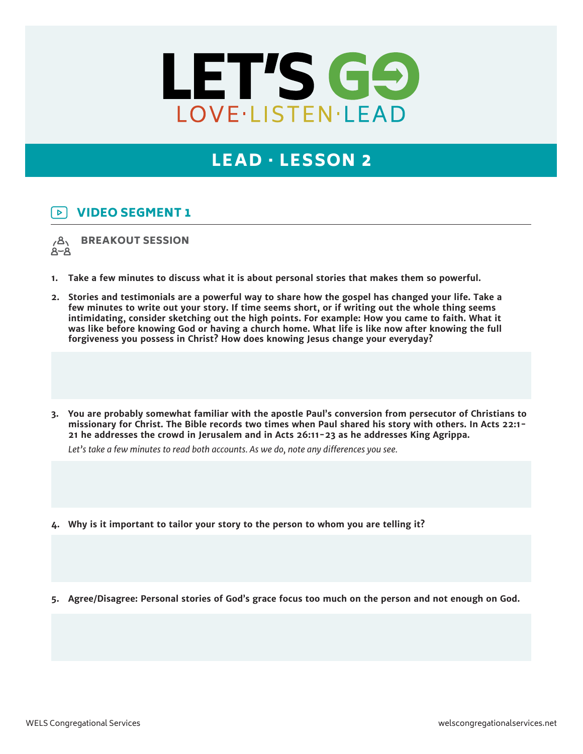

## LEAD · LESSON 2

## VIDEO SEGMENT 1  $\triangleright$

BREAKOUT SESSION  $\overline{A}$  $8 - 8$ 

- **1. Take a few minutes to discuss what it is about personal stories that makes them so powerful.**
- **2. Stories and testimonials are a powerful way to share how the gospel has changed your life. Take a few minutes to write out your story. If time seems short, or if writing out the whole thing seems intimidating, consider sketching out the high points. For example: How you came to faith. What it was like before knowing God or having a church home. What life is like now after knowing the full forgiveness you possess in Christ? How does knowing Jesus change your everyday?**
- **3. You are probably somewhat familiar with the apostle Paul's conversion from persecutor of Christians to missionary for Christ. The Bible records two times when Paul shared his story with others. In Acts 22:1- 21 he addresses the crowd in Jerusalem and in Acts 26:11-23 as he addresses King Agrippa.**

*Let's take a few minutes to read both accounts. As we do, note any differences you see.*

- **4. Why is it important to tailor your story to the person to whom you are telling it?**
- **5. Agree/Disagree: Personal stories of God's grace focus too much on the person and not enough on God.**